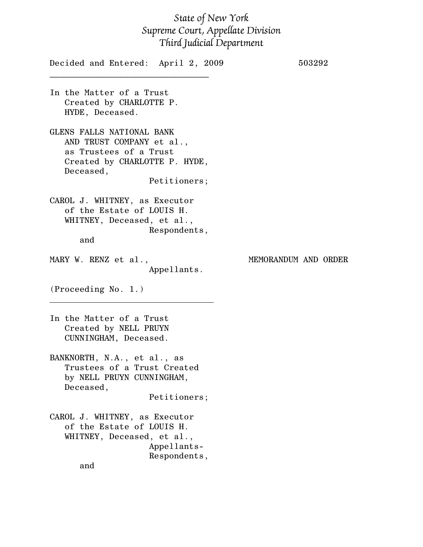## State of New York Supreme Court, Appellate Division Third Judicial Department

| Decided and Entered: April 2, 2009                                                                                                             | 503292               |
|------------------------------------------------------------------------------------------------------------------------------------------------|----------------------|
| In the Matter of a Trust<br>Created by CHARLOTTE P.<br>HYDE, Deceased.                                                                         |                      |
| GLENS FALLS NATIONAL BANK<br>AND TRUST COMPANY et al.,<br>as Trustees of a Trust<br>Created by CHARLOTTE P. HYDE,<br>Deceased,<br>Petitioners; |                      |
| CAROL J. WHITNEY, as Executor<br>of the Estate of LOUIS H.<br>WHITNEY, Deceased, et al.,<br>Respondents,<br>and                                |                      |
| MARY W. RENZ et al.,<br>Appellants.                                                                                                            | MEMORANDUM AND ORDER |
| (Proceeding No. 1.)                                                                                                                            |                      |
| In the Matter of a Trust<br>Created by NELL PRUYN<br>CUNNINGHAM, Deceased.                                                                     |                      |
| BANKNORTH, N.A., et al., as<br>Trustees of a Trust Created<br>by NELL PRUYN CUNNINGHAM,<br>Deceased,<br>Petitioners;                           |                      |
| CAROL J. WHITNEY, as Executor<br>of the Estate of LOUIS H.<br>WHITNEY, Deceased, et al.,<br>Appellants-<br>Respondents,<br>and                 |                      |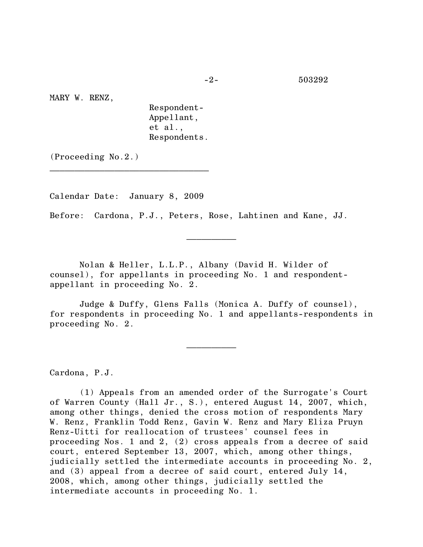MARY W. RENZ,

Respondent-Appellant, et al., Respondents.

(Proceeding No.2.)

Calendar Date: January 8, 2009

 $\mathcal{L}=\{1,2,3,4,5\}$ 

Before: Cardona, P.J., Peters, Rose, Lahtinen and Kane, JJ.

Nolan & Heller, L.L.P., Albany (David H. Wilder of counsel), for appellants in proceeding No. 1 and respondentappellant in proceeding No. 2.

Judge & Duffy, Glens Falls (Monica A. Duffy of counsel), for respondents in proceeding No. 1 and appellants-respondents in proceeding No. 2.

 $\frac{1}{2}$ 

 $\frac{1}{2}$ 

Cardona, P.J.

(1) Appeals from an amended order of the Surrogate's Court of Warren County (Hall Jr., S.), entered August 14, 2007, which, among other things, denied the cross motion of respondents Mary W. Renz, Franklin Todd Renz, Gavin W. Renz and Mary Eliza Pruyn Renz-Uitti for reallocation of trustees' counsel fees in proceeding Nos. 1 and 2, (2) cross appeals from a decree of said court, entered September 13, 2007, which, among other things, judicially settled the intermediate accounts in proceeding No. 2, and (3) appeal from a decree of said court, entered July 14, 2008, which, among other things, judicially settled the intermediate accounts in proceeding No. 1.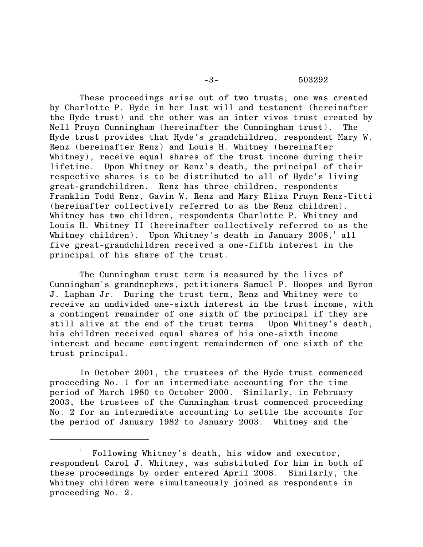## -3- 503292

These proceedings arise out of two trusts; one was created by Charlotte P. Hyde in her last will and testament (hereinafter the Hyde trust) and the other was an inter vivos trust created by Nell Pruyn Cunningham (hereinafter the Cunningham trust). The Hyde trust provides that Hyde's grandchildren, respondent Mary W. Renz (hereinafter Renz) and Louis H. Whitney (hereinafter Whitney), receive equal shares of the trust income during their lifetime. Upon Whitney or Renz's death, the principal of their respective shares is to be distributed to all of Hyde's living great-grandchildren. Renz has three children, respondents Franklin Todd Renz, Gavin W. Renz and Mary Eliza Pruyn Renz-Uitti (hereinafter collectively referred to as the Renz children). Whitney has two children, respondents Charlotte P. Whitney and Louis H. Whitney II (hereinafter collectively referred to as the Whitney children). Upon Whitney's death in January 2008, $^{\rm l}$  all five great-grandchildren received a one-fifth interest in the principal of his share of the trust.

The Cunningham trust term is measured by the lives of Cunningham's grandnephews, petitioners Samuel P. Hoopes and Byron J. Lapham Jr. During the trust term, Renz and Whitney were to receive an undivided one-sixth interest in the trust income, with a contingent remainder of one sixth of the principal if they are still alive at the end of the trust terms. Upon Whitney's death, his children received equal shares of his one-sixth income interest and became contingent remaindermen of one sixth of the trust principal.

In October 2001, the trustees of the Hyde trust commenced proceeding No. 1 for an intermediate accounting for the time period of March 1980 to October 2000. Similarly, in February 2003, the trustees of the Cunningham trust commenced proceeding No. 2 for an intermediate accounting to settle the accounts for the period of January 1982 to January 2003. Whitney and the

<sup>1</sup> Following Whitney's death, his widow and executor, respondent Carol J. Whitney, was substituted for him in both of these proceedings by order entered April 2008. Similarly, the Whitney children were simultaneously joined as respondents in proceeding No. 2.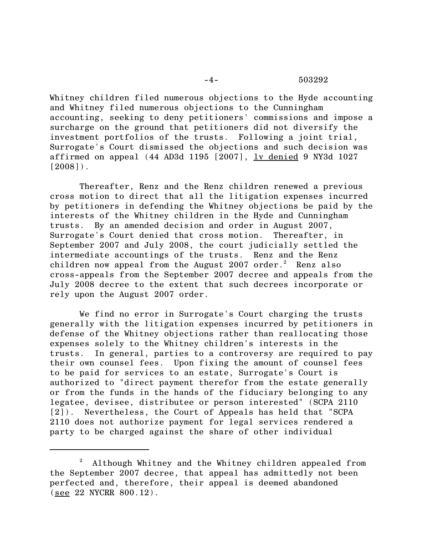## -4- 503292

Whitney children filed numerous objections to the Hyde accounting and Whitney filed numerous objections to the Cunningham accounting, seeking to deny petitioners' commissions and impose a surcharge on the ground that petitioners did not diversify the investment portfolios of the trusts. Following a joint trial, Surrogate's Court dismissed the objections and such decision was affirmed on appeal (44 AD3d 1195  $[2007]$ ,  $\underline{lv}$  denied 9 NY3d 1027  $[2008]$ .

Thereafter, Renz and the Renz children renewed a previous cross motion to direct that all the litigation expenses incurred by petitioners in defending the Whitney objections be paid by the interests of the Whitney children in the Hyde and Cunningham trusts. By an amended decision and order in August 2007, Surrogate's Court denied that cross motion. Thereafter, in September 2007 and July 2008, the court judicially settled the intermediate accountings of the trusts. Renz and the Renz children now appeal from the August  $2007$  order.<sup>2</sup> Renz also cross-appeals from the September 2007 decree and appeals from the July 2008 decree to the extent that such decrees incorporate or rely upon the August 2007 order.

We find no error in Surrogate's Court charging the trusts generally with the litigation expenses incurred by petitioners in defense of the Whitney objections rather than reallocating those expenses solely to the Whitney children's interests in the trusts. In general, parties to a controversy are required to pay their own counsel fees. Upon fixing the amount of counsel fees to be paid for services to an estate, Surrogate's Court is authorized to "direct payment therefor from the estate generally or from the funds in the hands of the fiduciary belonging to any legatee, devisee, distributee or person interested" (SCPA 2110 [2]). Nevertheless, the Court of Appeals has held that "SCPA 2110 does not authorize payment for legal services rendered a party to be charged against the share of other individual

<sup>2</sup> Although Whitney and the Whitney children appealed from the September 2007 decree, that appeal has admittedly not been perfected and, therefore, their appeal is deemed abandoned (see 22 NYCRR 800.12).